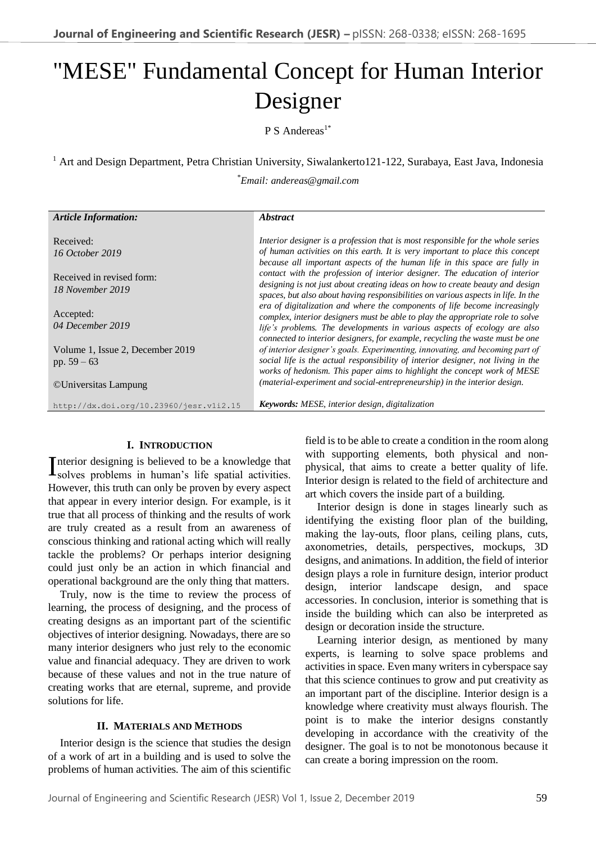# "MESE" Fundamental Concept for Human Interior Designer

## $P S$  Andereas<sup>1\*</sup>

<sup>1</sup> Art and Design Department, Petra Christian University, Siwalankerto121-122, Surabaya, East Java, Indonesia

\**Email: andereas@gmail.com*

| <b>Article Information:</b>             | <i><b>Abstract</b></i>                                                                                                                                       |
|-----------------------------------------|--------------------------------------------------------------------------------------------------------------------------------------------------------------|
| Received:                               | Interior designer is a profession that is most responsible for the whole series                                                                              |
| 16 October 2019                         | of human activities on this earth. It is very important to place this concept<br>because all important aspects of the human life in this space are fully in  |
| Received in revised form:               | contact with the profession of interior designer. The education of interior<br>designing is not just about creating ideas on how to create beauty and design |
| 18 November 2019                        | spaces, but also about having responsibilities on various aspects in life. In the                                                                            |
| Accepted:                               | era of digitalization and where the components of life become increasingly<br>complex, interior designers must be able to play the appropriate role to solve |
| 04 December 2019                        | life's problems. The developments in various aspects of ecology are also<br>connected to interior designers, for example, recycling the waste must be one    |
| Volume 1, Issue 2, December 2019        | of interior designer's goals. Experimenting, innovating, and becoming part of                                                                                |
| pp. $59 - 63$                           | social life is the actual responsibility of interior designer, not living in the<br>works of hedonism. This paper aims to highlight the concept work of MESE |
| <b>©Universitas Lampung</b>             | (material-experiment and social-entrepreneurship) in the interior design.                                                                                    |
| http://dx.doi.org/10.23960/jesr.vli2.15 | <b>Keywords:</b> MESE, interior design, digitalization                                                                                                       |

## **I. INTRODUCTION**

nterior designing is believed to be a knowledge that Interior designing is believed to be a knowledge that<br>solves problems in human's life spatial activities. However, this truth can only be proven by every aspect that appear in every interior design. For example, is it true that all process of thinking and the results of work are truly created as a result from an awareness of conscious thinking and rational acting which will really tackle the problems? Or perhaps interior designing could just only be an action in which financial and operational background are the only thing that matters.

Truly, now is the time to review the process of learning, the process of designing, and the process of creating designs as an important part of the scientific objectives of interior designing. Nowadays, there are so many interior designers who just rely to the economic value and financial adequacy. They are driven to work because of these values and not in the true nature of creating works that are eternal, supreme, and provide solutions for life.

## **II. MATERIALS AND METHODS**

Interior design is the science that studies the design of a work of art in a building and is used to solve the problems of human activities. The aim of this scientific field is to be able to create a condition in the room along with supporting elements, both physical and nonphysical, that aims to create a better quality of life. Interior design is related to the field of architecture and art which covers the inside part of a building.

Interior design is done in stages linearly such as identifying the existing floor plan of the building, making the lay-outs, floor plans, ceiling plans, cuts, axonometries, details, perspectives, mockups, 3D designs, and animations. In addition, the field of interior design plays a role in furniture design, interior product design, interior landscape design, and space accessories. In conclusion, interior is something that is inside the building which can also be interpreted as design or decoration inside the structure.

Learning interior design, as mentioned by many experts, is learning to solve space problems and activities in space. Even many writers in cyberspace say that this science continues to grow and put creativity as an important part of the discipline. Interior design is a knowledge where creativity must always flourish. The point is to make the interior designs constantly developing in accordance with the creativity of the designer. The goal is to not be monotonous because it can create a boring impression on the room.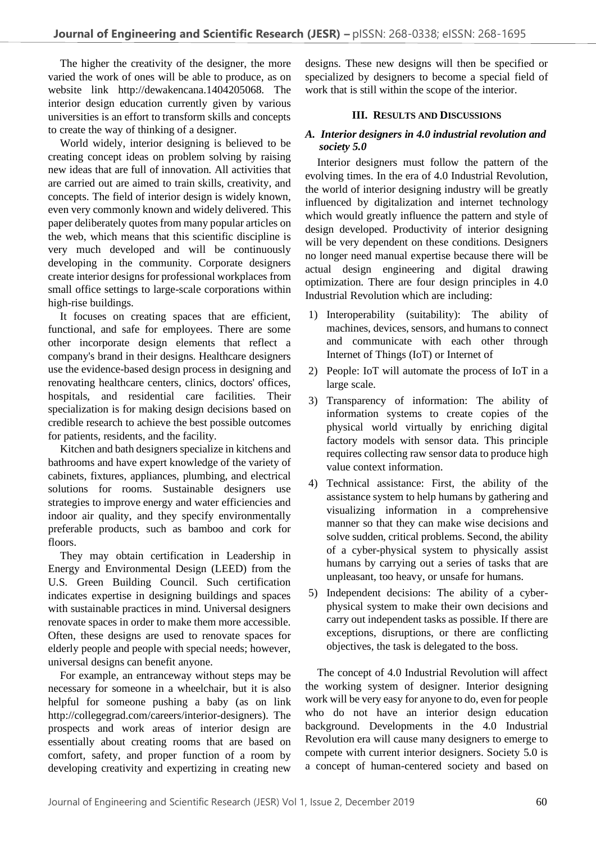The higher the creativity of the designer, the more varied the work of ones will be able to produce, as on website link http://dewakencana.1404205068. The interior design education currently given by various universities is an effort to transform skills and concepts to create the way of thinking of a designer.

World widely, interior designing is believed to be creating concept ideas on problem solving by raising new ideas that are full of innovation. All activities that are carried out are aimed to train skills, creativity, and concepts. The field of interior design is widely known, even very commonly known and widely delivered. This paper deliberately quotes from many popular articles on the web, which means that this scientific discipline is very much developed and will be continuously developing in the community. Corporate designers create interior designs for professional workplaces from small office settings to large-scale corporations within high-rise buildings.

It focuses on creating spaces that are efficient, functional, and safe for employees. There are some other incorporate design elements that reflect a company's brand in their designs. Healthcare designers use the evidence-based design process in designing and renovating healthcare centers, clinics, doctors' offices, hospitals, and residential care facilities. Their specialization is for making design decisions based on credible research to achieve the best possible outcomes for patients, residents, and the facility.

Kitchen and bath designers specialize in kitchens and bathrooms and have expert knowledge of the variety of cabinets, fixtures, appliances, plumbing, and electrical solutions for rooms. Sustainable designers use strategies to improve energy and water efficiencies and indoor air quality, and they specify environmentally preferable products, such as bamboo and cork for floors.

They may obtain certification in Leadership in Energy and Environmental Design (LEED) from the U.S. Green Building Council. Such certification indicates expertise in designing buildings and spaces with sustainable practices in mind. Universal designers renovate spaces in order to make them more accessible. Often, these designs are used to renovate spaces for elderly people and people with special needs; however, universal designs can benefit anyone.

For example, an entranceway without steps may be necessary for someone in a wheelchair, but it is also helpful for someone pushing a baby (as on link http://collegegrad.com/careers/interior-designers). The prospects and work areas of interior design are essentially about creating rooms that are based on comfort, safety, and proper function of a room by developing creativity and expertizing in creating new

designs. These new designs will then be specified or specialized by designers to become a special field of work that is still within the scope of the interior.

## **III. RESULTS AND DISCUSSIONS**

## *A. Interior designers in 4.0 industrial revolution and society 5.0*

Interior designers must follow the pattern of the evolving times. In the era of 4.0 Industrial Revolution, the world of interior designing industry will be greatly influenced by digitalization and internet technology which would greatly influence the pattern and style of design developed. Productivity of interior designing will be very dependent on these conditions. Designers no longer need manual expertise because there will be actual design engineering and digital drawing optimization. There are four design principles in 4.0 Industrial Revolution which are including:

- 1) Interoperability (suitability): The ability of machines, devices, sensors, and humans to connect and communicate with each other through Internet of Things (IoT) or Internet of
- 2) People: IoT will automate the process of IoT in a large scale.
- 3) Transparency of information: The ability of information systems to create copies of the physical world virtually by enriching digital factory models with sensor data. This principle requires collecting raw sensor data to produce high value context information.
- 4) Technical assistance: First, the ability of the assistance system to help humans by gathering and visualizing information in a comprehensive manner so that they can make wise decisions and solve sudden, critical problems. Second, the ability of a cyber-physical system to physically assist humans by carrying out a series of tasks that are unpleasant, too heavy, or unsafe for humans.
- 5) Independent decisions: The ability of a cyberphysical system to make their own decisions and carry out independent tasks as possible. If there are exceptions, disruptions, or there are conflicting objectives, the task is delegated to the boss.

The concept of 4.0 Industrial Revolution will affect the working system of designer. Interior designing work will be very easy for anyone to do, even for people who do not have an interior design education background. Developments in the 4.0 Industrial Revolution era will cause many designers to emerge to compete with current interior designers. Society 5.0 is a concept of human-centered society and based on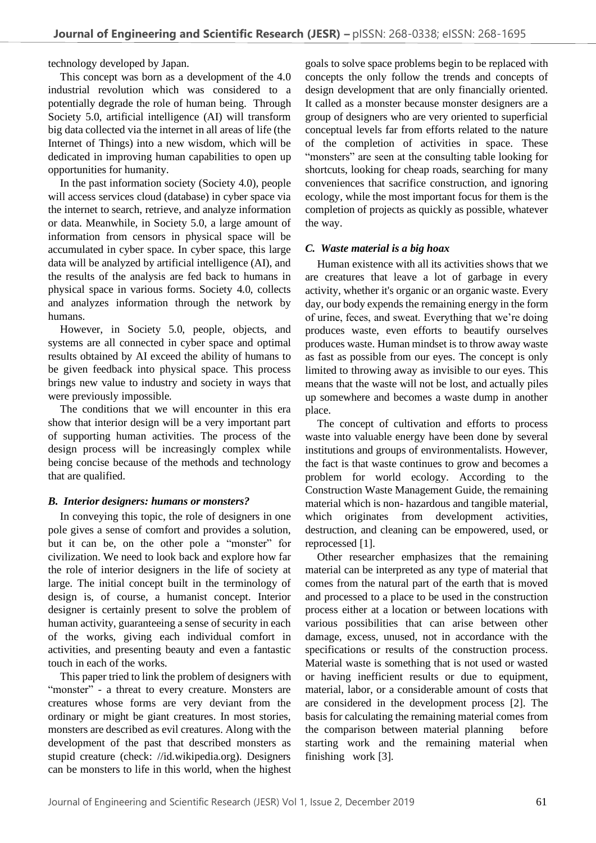technology developed by Japan.

This concept was born as a development of the 4.0 industrial revolution which was considered to a potentially degrade the role of human being. Through Society 5.0, artificial intelligence (AI) will transform big data collected via the internet in all areas of life (the Internet of Things) into a new wisdom, which will be dedicated in improving human capabilities to open up opportunities for humanity.

In the past information society (Society 4.0), people will access services cloud (database) in cyber space via the internet to search, retrieve, and analyze information or data. Meanwhile, in Society 5.0, a large amount of information from censors in physical space will be accumulated in cyber space. In cyber space, this large data will be analyzed by artificial intelligence (AI), and the results of the analysis are fed back to humans in physical space in various forms. Society 4.0, collects and analyzes information through the network by humans.

However, in Society 5.0, people, objects, and systems are all connected in cyber space and optimal results obtained by AI exceed the ability of humans to be given feedback into physical space. This process brings new value to industry and society in ways that were previously impossible.

The conditions that we will encounter in this era show that interior design will be a very important part of supporting human activities. The process of the design process will be increasingly complex while being concise because of the methods and technology that are qualified.

## *B. Interior designers: humans or monsters?*

In conveying this topic, the role of designers in one pole gives a sense of comfort and provides a solution, but it can be, on the other pole a "monster" for civilization. We need to look back and explore how far the role of interior designers in the life of society at large. The initial concept built in the terminology of design is, of course, a humanist concept. Interior designer is certainly present to solve the problem of human activity, guaranteeing a sense of security in each of the works, giving each individual comfort in activities, and presenting beauty and even a fantastic touch in each of the works.

This paper tried to link the problem of designers with "monster" - a threat to every creature. Monsters are creatures whose forms are very deviant from the ordinary or might be giant creatures. In most stories, monsters are described as evil creatures. Along with the development of the past that described monsters as stupid creature (check: //id.wikipedia.org). Designers can be monsters to life in this world, when the highest goals to solve space problems begin to be replaced with concepts the only follow the trends and concepts of design development that are only financially oriented. It called as a monster because monster designers are a group of designers who are very oriented to superficial conceptual levels far from efforts related to the nature of the completion of activities in space. These "monsters" are seen at the consulting table looking for shortcuts, looking for cheap roads, searching for many conveniences that sacrifice construction, and ignoring ecology, while the most important focus for them is the completion of projects as quickly as possible, whatever the way.

## *C. Waste material is a big hoax*

Human existence with all its activities shows that we are creatures that leave a lot of garbage in every activity, whether it's organic or an organic waste. Every day, our body expends the remaining energy in the form of urine, feces, and sweat. Everything that we're doing produces waste, even efforts to beautify ourselves produces waste. Human mindset is to throw away waste as fast as possible from our eyes. The concept is only limited to throwing away as invisible to our eyes. This means that the waste will not be lost, and actually piles up somewhere and becomes a waste dump in another place.

The concept of cultivation and efforts to process waste into valuable energy have been done by several institutions and groups of environmentalists. However, the fact is that waste continues to grow and becomes a problem for world ecology. According to the Construction Waste Management Guide, the remaining material which is non- hazardous and tangible material, which originates from development activities, destruction, and cleaning can be empowered, used, or reprocessed [1].

Other researcher emphasizes that the remaining material can be interpreted as any type of material that comes from the natural part of the earth that is moved and processed to a place to be used in the construction process either at a location or between locations with various possibilities that can arise between other damage, excess, unused, not in accordance with the specifications or results of the construction process. Material waste is something that is not used or wasted or having inefficient results or due to equipment, material, labor, or a considerable amount of costs that are considered in the development process [2]. The basis for calculating the remaining material comes from the comparison between material planning before starting work and the remaining material when finishing work [3].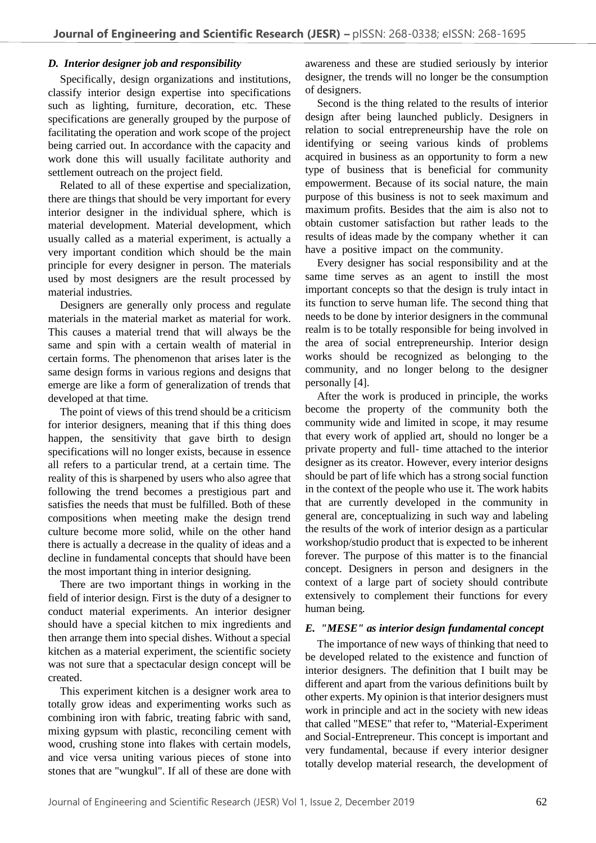### *D. Interior designer job and responsibility*

Specifically, design organizations and institutions, classify interior design expertise into specifications such as lighting, furniture, decoration, etc. These specifications are generally grouped by the purpose of facilitating the operation and work scope of the project being carried out. In accordance with the capacity and work done this will usually facilitate authority and settlement outreach on the project field.

Related to all of these expertise and specialization, there are things that should be very important for every interior designer in the individual sphere, which is material development. Material development, which usually called as a material experiment, is actually a very important condition which should be the main principle for every designer in person. The materials used by most designers are the result processed by material industries.

Designers are generally only process and regulate materials in the material market as material for work. This causes a material trend that will always be the same and spin with a certain wealth of material in certain forms. The phenomenon that arises later is the same design forms in various regions and designs that emerge are like a form of generalization of trends that developed at that time.

The point of views of this trend should be a criticism for interior designers, meaning that if this thing does happen, the sensitivity that gave birth to design specifications will no longer exists, because in essence all refers to a particular trend, at a certain time. The reality of this is sharpened by users who also agree that following the trend becomes a prestigious part and satisfies the needs that must be fulfilled. Both of these compositions when meeting make the design trend culture become more solid, while on the other hand there is actually a decrease in the quality of ideas and a decline in fundamental concepts that should have been the most important thing in interior designing.

There are two important things in working in the field of interior design. First is the duty of a designer to conduct material experiments. An interior designer should have a special kitchen to mix ingredients and then arrange them into special dishes. Without a special kitchen as a material experiment, the scientific society was not sure that a spectacular design concept will be created.

This experiment kitchen is a designer work area to totally grow ideas and experimenting works such as combining iron with fabric, treating fabric with sand, mixing gypsum with plastic, reconciling cement with wood, crushing stone into flakes with certain models, and vice versa uniting various pieces of stone into stones that are "wungkul". If all of these are done with awareness and these are studied seriously by interior designer, the trends will no longer be the consumption of designers.

Second is the thing related to the results of interior design after being launched publicly. Designers in relation to social entrepreneurship have the role on identifying or seeing various kinds of problems acquired in business as an opportunity to form a new type of business that is beneficial for community empowerment. Because of its social nature, the main purpose of this business is not to seek maximum and maximum profits. Besides that the aim is also not to obtain customer satisfaction but rather leads to the results of ideas made by the company whether it can have a positive impact on the community.

Every designer has social responsibility and at the same time serves as an agent to instill the most important concepts so that the design is truly intact in its function to serve human life. The second thing that needs to be done by interior designers in the communal realm is to be totally responsible for being involved in the area of social entrepreneurship. Interior design works should be recognized as belonging to the community, and no longer belong to the designer personally [4].

After the work is produced in principle, the works become the property of the community both the community wide and limited in scope, it may resume that every work of applied art, should no longer be a private property and full- time attached to the interior designer as its creator. However, every interior designs should be part of life which has a strong social function in the context of the people who use it. The work habits that are currently developed in the community in general are, conceptualizing in such way and labeling the results of the work of interior design as a particular workshop/studio product that is expected to be inherent forever. The purpose of this matter is to the financial concept. Designers in person and designers in the context of a large part of society should contribute extensively to complement their functions for every human being.

## *E. "MESE" as interior design fundamental concept*

The importance of new ways of thinking that need to be developed related to the existence and function of interior designers. The definition that I built may be different and apart from the various definitions built by other experts. My opinion is that interior designers must work in principle and act in the society with new ideas that called "MESE" that refer to, "Material-Experiment and Social-Entrepreneur. This concept is important and very fundamental, because if every interior designer totally develop material research, the development of